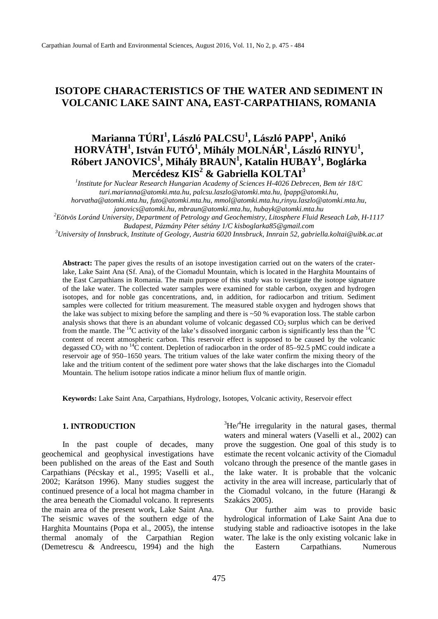# **ISOTOPE CHARACTERISTICS OF THE WATER AND SEDIMENT IN VOLCANIC LAKE SAINT ANA, EAST-CARPATHIANS, ROMANIA**

# **Marianna TÚRI<sup>1</sup> , László PALCSU1 , László PAPP1 , Anikó HORVÁTH1 , István FUTÓ1 , Mihály MOLNÁR1 , László RINYU1 , Róbert JANOVICS<sup>1</sup> , Mihály BRAUN1 , Katalin HUBAY1 , Boglárka Mercédesz KIS<sup>2</sup> & Gabriella KOLTAI<sup>3</sup>**

*1 [Institute for Nuclear Research Hungarian Academy of Sciences](mailto:Institute%20for%20Nuclear%20Research%20of%20the%20Hungarian%20Academy%20of%20Sciences) H-4026 Debrecen, Bem tér 18/C [turi.marianna@atomki.mta.hu,](mailto:turi.marianna@atomki.mta.hu) palcsu.laszlo@atomki.mta.hu, lpapp@atomki.hu, horvatha@atomki.mta.hu, [futo@atomki.mta.hu](mailto:futo@atomki.mta.hu)*, *[mmol@atomki.mta.hu](mailto:mmol@atomki.mta.hu)*,*[rinyu.laszlo@atomki.mta.hu](mailto:rinyu.laszlo@atomki.mta.hu)*,

*[janovics@atomki.hu](mailto:janovics@atomki.hu)*, *[mbraun@atomki.mta.hu,](mailto:mbraun@atomki.mta.hu) hubayk@atomki.mta.hu <sup>2</sup> Eötvös Loránd University, Department of Petrology and Geochemistry, Litosphere Fluid Reseach Lab, H-1117*

*Budapest, Pázmány Péter sétány 1/C [kisboglarka85@gmail.com](mailto:kisboglarka85@gmail.com) <sup>3</sup>*

*University of Innsbruck, Institute of Geology, Austria 6020 Innsbruck, Innrain 52, [gabriella.koltai@uibk.ac.at](mailto:gabriella.koltai@uibk.ac.at)*

**Abstract:** The paper gives the results of an isotope investigation carried out on the waters of the craterlake, Lake Saint Ana (Sf. Ana), of the Ciomadul Mountain, which is located in the Harghita Mountains of the East Carpathians in Romania. The main purpose of this study was to ivestigate the isotope signature of the lake water. The collected water samples were examined for stable carbon, oxygen and hydrogen isotopes, and for noble gas concentrations, and, in addition, for radiocarbon and tritium. Sediment samples were collected for tritium measurement. The measured stable oxygen and hydrogen shows that the lake was subject to mixing before the sampling and there is ~50 % evaporation loss. The stable carbon analysis shows that there is an abundant volume of volcanic degassed  $CO<sub>2</sub>$  surplus which can be derived from the mantle. The  ${}^{14}C$  activity of the lake's dissolved inorganic carbon is significantly less than the  ${}^{14}C$ content of recent atmospheric carbon. This reservoir effect is supposed to be caused by the volcanic degassed  $CO<sub>2</sub>$  with no <sup>14</sup>C content. Depletion of radiocarbon in the order of 85–92.5 pMC could indicate a reservoir age of 950–1650 years. The tritium values of the lake water confirm the mixing theory of the lake and the tritium content of the sediment pore water shows that the lake discharges into the Ciomadul Mountain. The helium isotope ratios indicate a minor helium flux of mantle origin.

**Keywords:** Lake Saint Ana, Carpathians, Hydrology, Isotopes, Volcanic activity, Reservoir effect

### **1. INTRODUCTION**

In the past couple of decades, many geochemical and geophysical investigations have been published on the areas of the East and South Carpathians (Pécskay et al., 1995; Vaselli et al., 2002; Karátson 1996). Many studies suggest the continued presence of a local hot magma chamber in the area beneath the Ciomadul volcano. It represents the main area of the present work, Lake Saint Ana. The seismic waves of the southern edge of the Harghita Mountains (Popa et al., 2005), the intense thermal anomaly of the Carpathian Region (Demetrescu & Andreescu, 1994) and the high

 ${}^{3}$ He $/{}^{4}$ He irregularity in the natural gases, thermal waters and mineral waters (Vaselli et al., 2002) can prove the suggestion. One goal of this study is to estimate the recent volcanic activity of the Ciomadul volcano through the presence of the mantle gases in the lake water. It is probable that the volcanic activity in the area will increase, particularly that of the Ciomadul volcano, in the future (Harangi & Szakács 2005).

Our further aim was to provide basic hydrological information of Lake Saint Ana due to studying stable and radioactive isotopes in the lake water. The lake is the only existing volcanic lake in the Eastern Carpathians. Numerous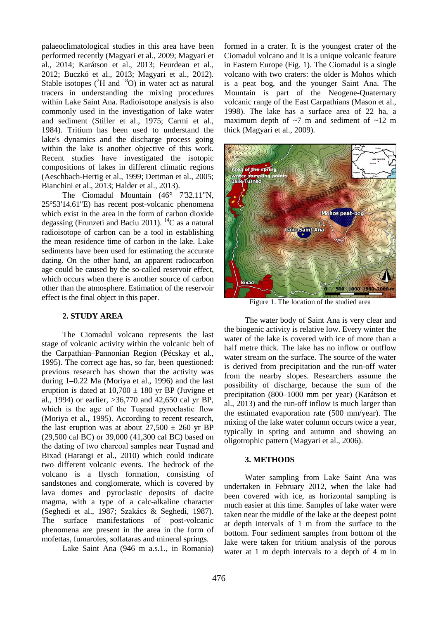palaeoclimatological studies in this area have been performed recently (Magyari et al., 2009; Magyari et al., 2014; Karátson et al., 2013; Feurdean et al., 2012; Buczkó et al., 2013; Magyari et al., 2012). Stable isotopes  $(^{2}H$  and  $^{18}O$ ) in water act as natural tracers in understanding the mixing procedures within Lake Saint Ana. Radioisotope analysis is also commonly used in the investigation of lake water and sediment (Stiller et al., 1975; Carmi et al., 1984). Tritium has been used to understand the lake's dynamics and the discharge process going within the lake is another objective of this work. Recent studies have investigated the isotopic compositions of lakes in different climatic regions (Aeschbach-Hertig et al., 1999; Dettman et al., 2005; Bianchini et al., 2013; Halder et al., 2013).

The Ciomadul Mountain (46° 7'32.11"N, 25°53'14.61"E) has recent post-volcanic phenomena which exist in the area in the form of carbon dioxide degassing (Frunzeti and Baciu 2011). <sup>14</sup>C as a natural radioisotope of carbon can be a tool in establishing the mean residence time of carbon in the lake. Lake sediments have been used for estimating the accurate dating. On the other hand, an apparent radiocarbon age could be caused by the so-called reservoir effect, which occurs when there is another source of carbon other than the atmosphere. Estimation of the reservoir effect is the final object in this paper.

## **2. STUDY AREA**

The Ciomadul volcano represents the last stage of volcanic activity within the volcanic belt of the Carpathian–Pannonian Region (Pécskay et al., 1995). The correct age has, so far, been questioned: previous research has shown that the activity was during 1–0.22 Ma (Moriya et al., 1996) and the last eruption is dated at  $10,700 \pm 180$  yr BP (Juvigne et al., 1994) or earlier, >36,770 and 42,650 cal yr BP, which is the age of the Tușnad pyroclastic flow (Moriya et al., 1995). According to recent research, the last eruption was at about  $27,500 \pm 260$  yr BP (29,500 cal BC) or 39,000 (41,300 cal BC) based on the dating of two charcoal samples near Tușnad and Bixad (Harangi et al., 2010) which could indicate two different volcanic events. The bedrock of the volcano is a flysch formation, consisting of sandstones and conglomerate, which is covered by lava domes and pyroclastic deposits of dacite magma, with a type of a calc-alkaline character (Seghedi et al., 1987; Szakács & Seghedi, 1987). The surface manifestations of post-volcanic phenomena are present in the area in the form of mofettas, fumaroles, solfataras and mineral springs.

Lake Saint Ana (946 m a.s.1., in Romania)

formed in a crater. It is the youngest crater of the Ciomadul volcano and it is a unique volcanic feature in Eastern Europe (Fig. 1). The Ciomadul is a single volcano with two craters: the older is Mohos which is a peat bog, and the younger Saint Ana. The Mountain is part of the Neogene-Quaternary volcanic range of the East Carpathians (Mason et al., 1998). The lake has a surface area of 22 ha, a maximum depth of  $\sim$ 7 m and sediment of  $\sim$ 12 m thick (Magyari et al., 2009).



Figure 1. The location of the studied area

The water body of Saint Ana is very clear and the biogenic activity is relative low. Every winter the water of the lake is covered with ice of more than a half metre thick. The lake has no inflow or outflow water stream on the surface. The source of the water is derived from precipitation and the run-off water from the nearby slopes. Researchers assume the possibility of discharge, because the sum of the precipitation (800–1000 mm per year) (Karátson et al., 2013) and the run-off inflow is much larger than the estimated evaporation rate (500 mm/year). The mixing of the lake water column occurs twice a year, typically in spring and autumn and showing an oligotrophic pattern (Magyari et al., 2006).

## **3. METHODS**

Water sampling from Lake Saint Ana was undertaken in February 2012, when the lake had been covered with ice, as horizontal sampling is much easier at this time. Samples of lake water were taken near the middle of the lake at the deepest point at depth intervals of 1 m from the surface to the bottom. Four sediment samples from bottom of the lake were taken for tritium analysis of the porous water at 1 m depth intervals to a depth of 4 m in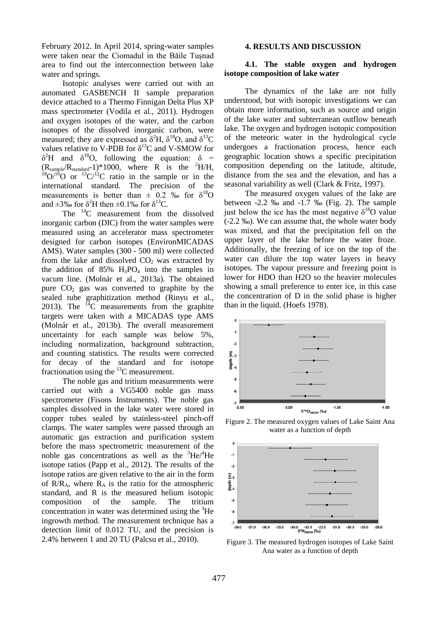February 2012. In April 2014, spring-water samples were taken near the Ciomadul in the Băile Tușnad area to find out the interconnection between lake water and springs.

Isotopic analyses were carried out with an automated GASBENCH II sample preparation device attached to a Thermo Finnigan Delta Plus XP mass spectrometer (Vodila et al., 2011). Hydrogen and oxygen isotopes of the water, and the carbon isotopes of the dissolved inorganic carbon, were measured; they are expressed as  $\delta^2 H$ ,  $\delta^{18} O$ , and  $\delta^{13} C$ values relative to V-PDB for  $\delta^{13}$ C and V-SMOW for  $\delta^2$ H and  $\delta^{18}$ O, following the equation:  $\delta$  =  $(R_{sample}/R_{standard-1})$ \*1000, where R is the <sup>2</sup>H/H,  $18O^{16}$ O or  $13C^{12}$ C ratio in the sample or in the international standard. The precision of the measurements is better than  $\pm$  0.2 ‰ for  $\delta^{18}$ O and  $\pm 3\%$  for  $\delta^2$ H then  $\pm 0.1\%$  for  $\delta^{13}$ C.

The  $^{14}$ C measurement from the dissolved inorganic carbon (DIC) from the water samples were measured using an accelerator mass spectrometer designed for carbon isotopes (EnvironMICADAS AMS). Water samples (300 - 500 ml) were collected from the lake and dissolved  $CO<sub>2</sub>$  was extracted by the addition of  $85\%$  H<sub>3</sub>PO<sub>4</sub> into the samples in vacum line. (Molnár et al., 2013a). The obtained pure  $CO<sub>2</sub>$  gas was converted to graphite by the sealed tube graphitization method (Rinyu et al., 2013). The  ${}^{14}$ C measurements from the graphite targets were taken with a MICADAS type AMS (Molnár et al., 2013b). The overall measurement uncertainty for each sample was below 5%, including normalization, background subtraction, and counting statistics. The results were corrected for decay of the standard and for isotope fractionation using the  $^{13}$ C measurement.

The noble gas and tritium measurements were carried out with a VG5400 noble gas mass spectrometer (Fisons Instruments). The noble gas samples dissolved in the lake water were stored in copper tubes sealed by stainless-steel pinch-off clamps. The water samples were passed through an automatic gas extraction and purification system before the mass spectrometric measurement of the noble gas concentrations as well as the  ${}^{3}$ He/ ${}^{4}$ He isotope ratios (Papp et al., 2012). The results of the isotope ratios are given relative to the air in the form of  $R/R<sub>A</sub>$ , where  $R<sub>A</sub>$  is the ratio for the atmospheric standard, and R is the measured helium isotopic composition of the sample. The tritium concentration in water was determined using the  ${}^{3}$ He ingrowth method. The measurement technique has a detection limit of 0.012 TU, and the precision is 2.4% between 1 and 20 TU (Palcsu et al., 2010).

## **4. RESULTS AND DISCUSSION**

## **4.1. The stable oxygen and hydrogen isotope composition of lake water**

The dynamics of the lake are not fully understood, but with isotopic investigations we can obtain more information, such as source and origin of the lake water and subterranean outflow beneath lake. The oxygen and hydrogen isotopic composition of the meteoric water in the hydrological cycle undergoes a fractionation process, hence each geographic location shows a specific precipitation composition depending on the latitude, altitude, distance from the sea and the elevation, and has a seasonal variability as well (Clark & Fritz, 1997).

The measured oxygen values of the lake are between -2.2 ‰ and -1.7 ‰ (Fig. 2). The sample just below the ice has the most negative  $\delta^{18}$ O value (-2.2 ‰). We can assume that, the whole water body was mixed, and that the precipitation fell on the upper layer of the lake before the water froze. Additionally, the freezing of ice on the top of the water can dilute the top water layers in heavy isotopes. The vapour pressure and freezing point is lower for HDO than H2O so the heavier molecules showing a small preference to enter ice, in this case the concentration of D in the solid phase is higher than in the liquid. (Hoefs 1978).



Figure 2. The measured oxygen values of Lake Saint Ana water as a function of depth



Figure 3. The measured hydrogen isotopes of Lake Saint Ana water as a function of depth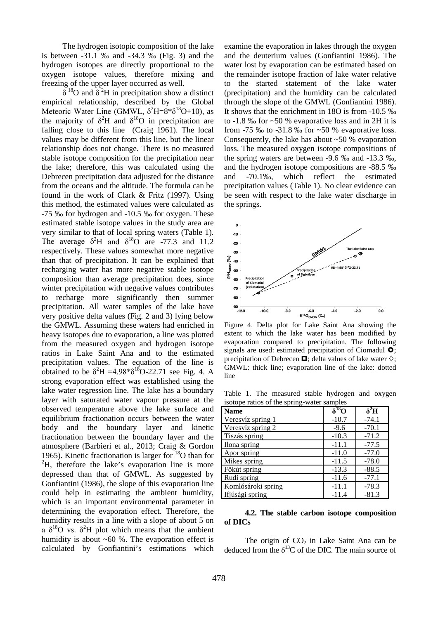The hydrogen isotopic composition of the lake is between -31.1 ‰ and -34.3 ‰ (Fig. 3) and the hydrogen isotopes are directly proportional to the oxygen isotope values, therefore mixing and freezing of the upper layer occurred as well.

 $\delta^{18}$ O and  $\delta^{2}$ H in precipitation show a distinct empirical relationship, described by the Global Meteoric Water Line (GMWL,  $\delta^2$ H= $8* \delta^{18}O+10$ ), as the majority of  $\delta^2$ H and  $\delta^{18}$ O in precipitation are falling close to this line (Craig 1961). The local values may be different from this line, but the linear relationship does not change. There is no measured stable isotope composition for the precipitation near the lake; therefore, this was calculated using the Debrecen precipitation data adjusted for the distance from the oceans and the altitude. The formula can be found in the work of Clark & Fritz (1997). Using this method, the estimated values were calculated as -75 ‰ for hydrogen and -10.5 ‰ for oxygen. These estimated stable isotope values in the study area are very similar to that of local spring waters (Table 1). The average  $\delta^2$ H and  $\delta^{18}$ O are -77.3 and 11.2 respectively. These values somewhat more negative than that of precipitation. It can be explained that recharging water has more negative stable isotope composition than average precipitation does, since winter precipitation with negative values contributes to recharge more significantly then summer precipitation. All water samples of the lake have very positive delta values (Fig. 2 and 3) lying below the GMWL. Assuming these waters had enriched in heavy isotopes due to evaporation, a line was plotted from the measured oxygen and hydrogen isotope ratios in Lake Saint Ana and to the estimated precipitation values. The equation of the line is obtained to be  $\delta^2 H = 4.98 \times \delta^{18} O - 22.71$  see Fig. 4. A strong evaporation effect was established using the lake water regression line. The lake has a boundary layer with saturated water vapour pressure at the observed temperature above the lake surface and equilibrium fractionation occurs between the water body and the boundary layer and kinetic fractionation between the boundary layer and the atmosphere (Barbieri et al., 2013; Craig & Gordon 1965). Kinetic fractionation is larger for  ${}^{18}$ O than for <sup>2</sup>H, therefore the lake's evaporation line is more depressed than that of GMWL. As suggested by Gonfiantini (1986), the slope of this evaporation line could help in estimating the ambient humidity, which is an important environmental parameter in determining the evaporation effect. Therefore, the humidity results in a line with a slope of about 5 on a  $\delta^{18}$ O vs.  $\delta^2$ H plot which means that the ambient humidity is about ~60 %. The evaporation effect is calculated by Gonfiantini's estimations which

examine the evaporation in lakes through the oxygen and the deuterium values (Gonfiantini 1986). The water lost by evaporation can be estimated based on the remainder isotope fraction of lake water relative to the started statement of the lake water (precipitation) and the humidity can be calculated through the slope of the GMWL (Gonfiantini 1986). It shows that the enrichment in 18O is from -10.5 ‰ to  $-1.8$  ‰ for  $\sim 50$  % evaporative loss and in 2H it is from  $-75$  ‰ to  $-31.8$  ‰ for  $\sim 50$  % evaporative loss. Consequently, the lake has about  $\sim 50$  % evaporation loss. The measured oxygen isotope compositions of the spring waters are between -9.6 ‰ and -13.3 ‰, and the hydrogen isotope compositions are -88.5 ‰ and -70.1‰, which reflect the estimated precipitation values (Table 1). No clear evidence can be seen with respect to the lake water discharge in the springs.



Figure 4. Delta plot for Lake Saint Ana showing the extent to which the lake water has been modified by evaporation compared to precipitation. The following signals are used: estimated precipitation of Ciomadul  $\bullet$ ; precipitation of Debrecen  $\blacksquare$ : delta values of lake water  $\diamond$ : GMWL: thick line; evaporation line of the lake: dotted line

Table 1. The measured stable hydrogen and oxygen isotope ratios of the spring-water samples

| <b>Name</b>        | $\delta^{18}$ O | $\delta^2 H$ |
|--------------------|-----------------|--------------|
| Veresvíz spring 1  | $-10.7$         | $-74.1$      |
| Veresvíz spring 2  | $-9.6$          | $-70.1$      |
| Tiszás spring      | $-10.3$         | $-71.2$      |
| Ilona spring       | -11.1           | $-77.5$      |
| Apor spring        | $-11.0$         | $-77.0$      |
| Mikes spring       | $-11.5$         | $-78.0$      |
| Főkút spring       | $-13.3$         | $-88.5$      |
| Rudi spring        | $-11.6$         | $-77.1$      |
| Komlósároki spring | -11.1           | $-78.3$      |
| Ifjúsági spring    | $-11.4$         | -81.3        |

## **4.2. The stable carbon isotope composition of DICs**

The origin of  $CO<sub>2</sub>$  in Lake Saint Ana can be deduced from the  $\delta^{13}$ C of the DIC. The main source of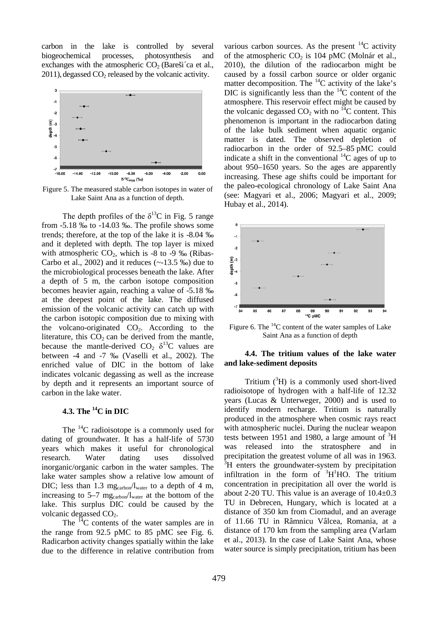carbon in the lake is controlled by several biogeochemical processes, photosynthesis and exchanges with the atmospheric  $CO<sub>2</sub>$  (Bareši'ca et al.,  $2011$ ), degassed  $CO<sub>2</sub>$  released by the volcanic activity.



Figure 5. The measured stable carbon isotopes in water of Lake Saint Ana as a function of depth.

The depth profiles of the  $\delta^{13}$ C in Fig. 5 range from -5.18 ‰ to -14.03 ‰. The profile shows some trends; therefore, at the top of the lake it is -8.04 ‰ and it depleted with depth. The top layer is mixed with atmospheric  $CO<sub>2</sub>$ , which is -8 to -9 ‰ (Ribas-Carbo et al., 2002) and it reduces  $(-13.5\% )$  due to the microbiological processes beneath the lake. After a depth of 5 m, the carbon isotope composition becomes heavier again, reaching a value of -5.18 ‰ at the deepest point of the lake. The diffused emission of the volcanic activity can catch up with the carbon isotopic composition due to mixing with the volcano-originated  $CO<sub>2</sub>$ . According to the literature, this  $CO<sub>2</sub>$  can be derived from the mantle, because the mantle-derived CO<sub>2</sub>  $\delta^{13}$ C values are between -4 and -7 ‰ (Vaselli et al., 2002). The enriched value of DIC in the bottom of lake indicates volcanic degassing as well as the increase by depth and it represents an important source of carbon in the lake water.

## **4.3. The 14C in DIC**

The  $^{14}$ C radioisotope is a commonly used for dating of groundwater. It has a half-life of 5730 years which makes it useful for chronological research. Water dating uses dissolved inorganic/organic carbon in the water samples. The lake water samples show a relative low amount of DIC; less than 1.3 mg $_{\text{carbon}}/l_{\text{water}}$  to a depth of 4 m, increasing to  $5-7$  mg<sub>carbon</sub>/l<sub>water</sub> at the bottom of the lake. This surplus DIC could be caused by the volcanic degassed  $CO<sub>2</sub>$ .

The  $^{14}$ C contents of the water samples are in the range from 92.5 pMC to 85 pMC see Fig. 6. Radicarbon activity changes spatially within the lake due to the difference in relative contribution from

various carbon sources. As the present  ${}^{14}C$  activity of the atmospheric  $CO<sub>2</sub>$  is 104 pMC (Molnár et al., 2010), the dilution of the radiocarbon might be caused by a fossil carbon source or older organic matter decomposition. The  ${}^{14}C$  activity of the lake's DIC is significantly less than the  $^{14}$ C content of the atmosphere. This reservoir effect might be caused by the volcanic degassed  $CO<sub>2</sub>$  with no  $^{14}C$  content. This phenomenon is important in the radiocarbon dating of the lake bulk sediment when aquatic organic matter is dated. The observed depletion of radiocarbon in the order of 92.5–85 pMC could indicate a shift in the conventional  ${}^{14}C$  ages of up to about 950–1650 years. So the ages are apparently increasing. These age shifts could be important for the paleo-ecological chronology of Lake Saint Ana (see: Magyari et al., 2006; Magyari et al., 2009; Hubay et al., 2014).



Figure 6. The  $^{14}$ C content of the water samples of Lake Saint Ana as a function of depth

## **4.4. The tritium values of the lake water and lake-sediment deposits**

Tritium  $(^{3}H)$  is a commonly used short-lived radioisotope of hydrogen with a half-life of 12.32 years (Lucas & Unterweger, 2000) and is used to identify modern recharge. Tritium is naturally produced in the atmosphere when cosmic rays react with atmospheric nuclei. During the nuclear weapon tests between 1951 and 1980, a large amount of  ${}^{3}H$ was released into the stratosphere and in precipitation the greatest volume of all was in 1963.  $3H$  enters the groundwater-system by precipitation infiltration in the form of  ${}^{3}H^{1}HO$ . The tritium concentration in precipitation all over the world is about 2-20 TU. This value is an average of 10.4±0.3 TU in Debrecen, Hungary, which is located at a distance of 350 km from Ciomadul, and an average of 11.66 TU in Râmnicu Vâlcea, Romania, at a distance of 170 km from the sampling area (Varlam et al., 2013). In the case of Lake Saint Ana, whose water source is simply precipitation, tritium has been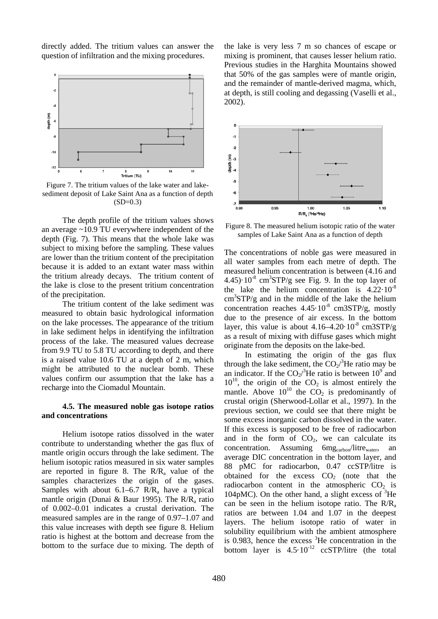directly added. The tritium values can answer the question of infiltration and the mixing procedures.



Figure 7. The tritium values of the lake water and lakesediment deposit of Lake Saint Ana as a function of depth  $(SD=0.3)$ 

The depth profile of the tritium values shows an average ~10.9 TU everywhere independent of the depth (Fig. 7). This means that the whole lake was subject to mixing before the sampling. These values are lower than the tritium content of the precipitation because it is added to an extant water mass within the tritium already decays. The tritium content of the lake is close to the present tritium concentration of the precipitation.

The tritium content of the lake sediment was measured to obtain basic hydrological information on the lake processes. The appearance of the tritium in lake sediment helps in identifying the infiltration process of the lake. The measured values decrease from 9.9 TU to 5.8 TU according to depth, and there is a raised value 10.6 TU at a depth of 2 m, which might be attributed to the nuclear bomb. These values confirm our assumption that the lake has a recharge into the Ciomadul Mountain.

## **4.5. The measured noble gas isotope ratios and concentrations**

Helium isotope ratios dissolved in the water contribute to understanding whether the gas flux of mantle origin occurs through the lake sediment. The helium isotopic ratios measured in six water samples are reported in figure 8. The  $R/R<sub>a</sub>$  value of the samples characterizes the origin of the gases. Samples with about  $6.1-6.7$   $R/R<sub>a</sub>$  have a typical mantle origin (Dunai & Baur 1995). The  $R/R_a$  ratio of 0.002–0.01 indicates a crustal derivation. The measured samples are in the range of 0.97–1.07 and this value increases with depth see figure 8. Helium ratio is highest at the bottom and decrease from the bottom to the surface due to mixing. The depth of

the lake is very less 7 m so chances of escape or mixing is prominent, that causes lesser helium ratio. Previous studies in the Harghita Mountains showed that 50% of the gas samples were of mantle origin, and the remainder of mantle-derived magma, which, at depth, is still cooling and degassing (Vaselli et al., 2002).



Figure 8. The measured helium isotopic ratio of the water samples of Lake Saint Ana as a function of depth

The concentrations of noble gas were measured in all water samples from each metre of depth. The measured helium concentration is between (4.16 and 4.45) $\cdot$  10<sup>-8</sup> cm<sup>3</sup>STP/g see Fig. 9. In the top layer of the lake the helium concentration is  $4.22 \cdot 10^{-8}$  $\text{cm}^3$ STP/g and in the middle of the lake the helium concentration reaches  $4.45 \cdot 10^{-8}$  cm3STP/g, mostly due to the presence of air excess. In the bottom layer, this value is about  $4.16-4.20 \cdot 10^{-8}$  cm3STP/g as a result of mixing with diffuse gases which might originate from the deposits on the lake-bed.

In estimating the origin of the gas flux through the lake sediment, the  $CO_2$ <sup>3</sup>He ratio may be an indicator. If the  $CO_2$ <sup>3</sup>He ratio is between  $10^9$  and  $10^{10}$ , the origin of the CO<sub>2</sub> is almost entirely the mantle. Above  $10^{10}$  the CO<sub>2</sub> is predominantly of crustal origin (Sherwood-Lollar et al., 1997). In the previous section, we could see that there might be some excess inorganic carbon dissolved in the water. If this excess is supposed to be free of radiocarbon and in the form of  $CO<sub>2</sub>$ , we can calculate its concentration. Assuming 6mg<sub>carbon</sub>/litre<sub>water</sub>, an average DIC concentration in the bottom layer, and 88 pMC for radiocarbon, 0.47 ccSTP/litre is obtained for the excess  $CO<sub>2</sub>$  (note that the radiocarbon content in the atmospheric  $CO<sub>2</sub>$  is 104pMC). On the other hand, a slight excess of  ${}^{3}$ He can be seen in the helium isotope ratio. The  $R/R_a$ ratios are between 1.04 and 1.07 in the deepest layers. The helium isotope ratio of water in solubility equilibrium with the ambient atmosphere is 0.983, hence the excess  ${}^{3}$ He concentration in the bottom layer is  $4.5 \cdot 10^{-12}$  ccSTP/litre (the total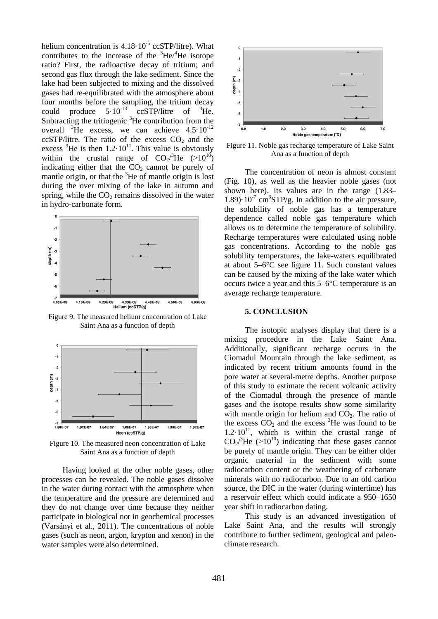helium concentration is  $4.18 \cdot 10^{-5}$  ccSTP/litre). What contributes to the increase of the  ${}^{3}$ He/ ${}^{4}$ He isotope ratio? First, the radioactive decay of tritium; and second gas flux through the lake sediment. Since the lake had been subjected to mixing and the dissolved gases had re-equilibrated with the atmosphere about four months before the sampling, the tritium decay could produce  $5 \cdot 10^{-13}$  ccSTP/litre of  ${}^{3}$ He. Subtracting the tritiogenic  ${}^{3}$ He contribution from the overall  ${}^{3}$ He excess, we can achieve 4.5 $\cdot 10^{-12}$ ccSTP/litre. The ratio of the excess  $CO<sub>2</sub>$  and the excess  ${}^{3}$ He is then 1.2 $\cdot 10^{11}$ . This value is obviously within the crustal range of  $CO_2$ <sup>3</sup>He (>10<sup>10</sup>) indicating either that the  $CO<sub>2</sub>$  cannot be purely of mantle origin, or that the  ${}^{3}$ He of mantle origin is lost during the over mixing of the lake in autumn and spring, while the  $CO<sub>2</sub>$  remains dissolved in the water in hydro-carbonate form.



Figure 9. The measured helium concentration of Lake Saint Ana as a function of depth



Figure 10. The measured neon concentration of Lake Saint Ana as a function of depth

Having looked at the other noble gases, other processes can be revealed. The noble gases dissolve in the water during contact with the atmosphere when the temperature and the pressure are determined and they do not change over time because they neither participate in biological nor in geochemical processes (Varsányi et al., 2011). The concentrations of noble gases (such as neon, argon, krypton and xenon) in the water samples were also determined.



Figure 11. Noble gas recharge temperature of Lake Saint Ana as a function of depth

The concentration of neon is almost constant (Fig. 10), as well as the heavier noble gases (not shown here). Its values are in the range (1.83– 1.89) $\cdot$  10<sup>-7</sup> cm<sup>3</sup>STP/g. In addition to the air pressure, the solubility of noble gas has a temperature dependence called noble gas temperature which allows us to determine the temperature of solubility. Recharge temperatures were calculated using noble gas concentrations. According to the noble gas solubility temperatures, the lake-waters equilibrated at about 5–6°C see figure 11. Such constant values can be caused by the mixing of the lake water which occurs twice a year and this 5–6°C temperature is an average recharge temperature.

## **5. CONCLUSION**

The isotopic analyses display that there is a mixing procedure in the Lake Saint Ana. Additionally, significant recharge occurs in the Ciomadul Mountain through the lake sediment, as indicated by recent tritium amounts found in the pore water at several-metre depths. Another purpose of this study to estimate the recent volcanic activity of the Ciomadul through the presence of mantle gases and the isotope results show some similarity with mantle origin for helium and  $CO<sub>2</sub>$ . The ratio of the excess  $CO_2$  and the excess  ${}^{3}$ He was found to be  $1.2 \cdot 10^{11}$ , which is within the crustal range of  $CO_2$ <sup>3</sup>He (>10<sup>10</sup>) indicating that these gases cannot be purely of mantle origin. They can be either older organic material in the sediment with some radiocarbon content or the weathering of carbonate minerals with no radiocarbon. Due to an old carbon source, the DIC in the water (during wintertime) has a reservoir effect which could indicate a 950–1650 year shift in radiocarbon dating.

This study is an advanced investigation of Lake Saint Ana, and the results will strongly contribute to further sediment, geological and paleoclimate research.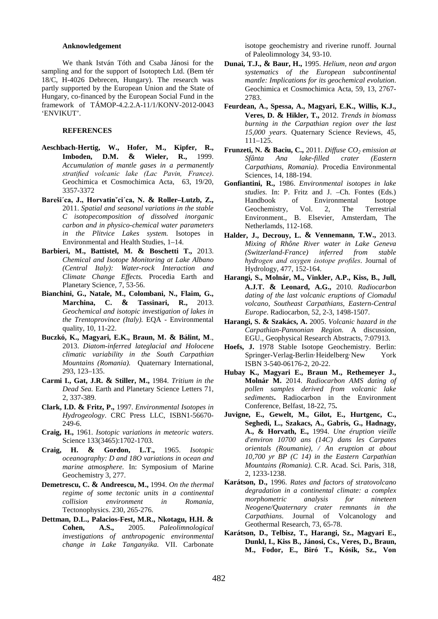#### **Anknowledgement**

We thank István Tóth and Csaba Jánosi for the sampling and for the support of Isotoptech Ltd. (Bem tér 18/C, H-4026 Debrecen, Hungary). The research was partly supported by the European Union and the State of Hungary, co-financed by the European Social Fund in the framework of TÁMOP-4.2.2.A-11/1/KONV-2012-0043 'ENVIKUT'.

#### **REFERENCES**

- **Aeschbach-Hertig, W., Hofer, M., Kipfer, R., Imboden, D.M. & Wieler, R.,** 1999. *Accumulation of mantle gases in a permanently stratified volcanic lake (Lac Pavin, France)*. Geochimica et Cosmochimica Acta, 63, 19/20, 3357-3372
- **Bareši´ca, J., Horvatinˇci´ca, N. & Roller–Lutzb, Z.,** 2011. *Spatial and seasonal variations in the stable C isotopecomposition of dissolved inorganic carbon and in physico-chemical water parameters in the Plitvice Lakes system.* Isotopes in Environmental and Health Studies, 1–14.
- **Barbieri, M., Battistel, M. & Boschetti T.,** 2013. *[Chemical and Isotope Monitoring at Lake Albano](http://www.sciencedirect.com/science/article/pii/S1878522013001987)  [\(Central Italy\): Water-rock Interaction and](http://www.sciencedirect.com/science/article/pii/S1878522013001987)  [Climate Change Effects.](http://www.sciencedirect.com/science/article/pii/S1878522013001987)* Procedia Earth and Planetary Science, 7, 53-56.
- **Bianchini, G., Natale, M., Colombani, N., Flaim, G., Marchina, C. & Tassinari, R.,** 2013. *Geochemical and isotopic investigation of lakes in the Trentoprovince (Italy).* EQA - Environmental quality, 10, 11-22.
- **Buczkó, K., Magyari, E.K., Braun, M. & Bálint, M**., 2013. *Diatom-inferred lateglacial and Holocene climatic variability in the South Carpathian Mountains (Romania).* Quaternary International, 293, 123–135.
- **Carmi I., Gat, J.R. & Stiller, M.,** 1984. *Tritium in the Dead Sea.* Earth and Planetary Science Letters 71, 2, 337-389.
- **Clark, I.D. & Fritz, P.,** 1997. *Environmental Isotopes in Hydrogeology*. CRC Press LLC, ISBN1-56670- 249-6.
- **Craig, H.,** 1961. *Isotopic variations in meteoric waters*. Science 133(3465):1702-1703.
- **Craig, H. & [Gordon,](http://www.sciencedirect.com/science/article/pii/001670377190127X#BIB10) L.T.,** 1965. *Isotopic oceanography: D and 18O variations in ocean and marine atmosphere.* In: Symposium of Marine Geochemistry 3, 277.
- **Demetrescu, C. & Andreescu, M.,** 1994. *On the thermal regime of some tectonic units in a continental collision environment in Romania,* Tectonophysics. 230, 265-276.
- **Dettman, D.L., Palacios-Fest, M.R., Nkotagu, H.H. & Cohen, A.S.,** 2005. *Paleolimnological investigations of anthropogenic environmental change in Lake Tanganyika.* VII. Carbonate

isotope geochemistry and riverine runoff. Journal of Paleolimnology 34, 93-10.

- **Dunai, T.J., & Baur, H.,** 1995. *Helium, neon and argon systematics of the European subcontinental mantle: Implications for its geochemical evolution*. Geochimica et Cosmochimica Acta, 59, 13, 2767- 2783.
- **Feurdean, A., Spessa, A., Magyari, E.K., Willis, K.J., Veres, D. & Hikler, T.,** 2012. *Trends in biomass burning in the Carpathian region over the last 15,000 years*. Quaternary Science Reviews, 45, 111–125.
- **Frunzeti, N. & Baciu, C.,** 2011. *Diffuse CO<sub>2</sub> emission at Sfânta Ana lake-filled crater (Eastern Carpathians, Romania)*. Procedia Environmental Sciences, 14, 188-194.
- **Gonfiantini, R.,** 1986. *Environmental isotopes in lake studies.* In: P. Fritz and J. –Ch. Fontes (Eds.) Handbook of Environmental Isotope Geochemistry, Vol. 2, The Terrestrial Environment., B. Elsevier, Amsterdam, The Netherlamds, 112-168.
- **Halder, J., Decrouy, L. & Vennemann, T.W.,** 2013. *Mixing of Rhône River water in Lake Geneva (Switzerland-France) inferred from stable hydrogen and oxygen isotope profiles*. Journal of Hydrology, 477, 152-164.
- **Harangi, S., Molnár, M., Vinkler, A.P., Kiss, B., Jull, A.J.T. & Leonard, A.G.,** 2010. *Radiocarbon dating of the last volcanic eruptions of Ciomadul volcano, Southeast Carpathians, Eastern-Central Europe*. Radiocarbon, 52, 2-3, 1498-1507.
- **Harangi, S. & Szakács, A.** 2005. *Volcanic hazard in the Carpathian-Pannonian Region.* A discussion, EGU., Geophysical Research Abstracts, 7:07913.
- **Hoefs, J.** 1978 Stable Isotope Geochemistry. Berlin: Springer-Verlag-Berlin·Heidelberg·New York ISBN 3-540-06176-2, 20-22.
- **Hubay K., Magyari E., Braun M., Rethemeyer J., Molnár M.** 2014. *Radiocarbon AMS dating of pollen samples derived from volcanic lake sediments***.** Radiocarbon in the Environment Conference, Belfast, 18-22, 75**.**
- **Juvigne, E., Gewelt, M., Gilot, E., Hurtgenc, C., Seghedi, L., Szakacs, A., Gabris, G., Hadnagy, A., & Horvath, E.,** 1994. *Une éruption vieille d'environ 10700 ans (14C) dans les Carpates orientals (Roumanie), / An eruption at about 10,700 yr BP (C 14) in the Eastern Carpathian Mountains (Romania).* C.R. Acad. Sci. Paris, 318, 2, 1233-1238.
- **Karátson, D.,** 1996. *Rates and factors of stratovolcano degradation in a continental climate: a complex morphometric analysis for nineteen Neogene/Quaternary crater remnants in the Carpathians*. Journal of Volcanology and Geothermal Research, 73, 65-78.
- **Karátson, D., Telbisz, T., Harangi, Sz., Magyari E., Dunkl, I., Kiss B., Jánosi, Cs., Veres, D., Braun, M., Fodor, E., Biró T., Kósik, Sz., Von**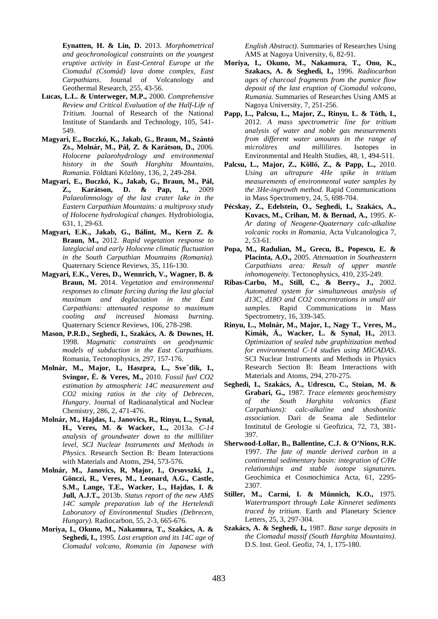**Eynatten, H. & Lin, D.** 2013. *Morphometrical and geochronological constraints on the youngest eruptive activity in East-Central Europe at the Ciomadul (Csomád) lava dome complex, East Carpathians*. Journal of Volcanology and Geothermal Research, 255, 43-56.

- **Lucas, L.L. & Unterweger, M.P.,** 2000. *Comprehensive Review and Critical Evaluation of the Half-Life of Tritium.* Journal of Research of the National Institute of Standards and Technology, 105, 541- 549.
- **Magyari, E., Buczkó, K., Jakab, G., Braun, M., Szántó Zs., Molnár, M., Pál, Z. & Karátson, D.,** 2006. *Holocene palaeohydrology and environmental history in the South Harghita Mountains, Romania.* Földtani Közlöny, 136, 2, 249-284.
- **Magyari, E., Buczkó, K., Jakab, G., Braun, M., Pál, Z., Karátson, D. & Pap, I.,** 2009 *Palaeolimnology of the last crater lake in the Eastern Carpathian Mountains: a multiproxy study of Holocene hydrological changes*. Hydrobiologia, 631, 1, 29-63.
- **Magyari, E.K., Jakab, G., Bálint, M., Kern Z. & Braun, M.,** 2012. *Rapid vegetation response to lateglacial and early Holocene climatic fluctuation in the South Carpathian Mountains (Romania).* Quaternary Science Reviews, 35, 116-130.
- **Magyari, E.K., Veres, D., Wennrich, V., Wagner, B. & Braun, M.** 2014. *Vegetation and environmental responses to climate forcing during the last glacial maximum and deglaciation in the East Carpathians: attenuated response to maximum cooling and increased biomass burning*. Quaternary Science Reviews, 106, 278-298.
- **Mason, P.R.D., Seghedi, I., Szakács, A. & Downes, H.** 1998. *Magmatic constraints on geodynamic models of subduction in the East Carpathians*. Romania, Tectonophysics, 297, 157-176.
- **Molnár, M., Major, I., Haszpra, L., Sve**˘**tlik, I., Svingor, É. & Veres, M.,** 2010. *Fossil fuel CO2 estimation by atmospheric 14C measurement and CO2 mixing ratios in the city of Debrecen, Hungary.* Journal of Radioanalytical and Nuclear Chemistry, 286, 2, 471-476.
- **[Molnár,](http://w3.atomki.hu/p2/authors/aut04552.htm) M., Hajdas, I., [Janovics,](http://w3.atomki.hu/p2/authors/aut17155.htm) R., [Rinyu,](http://w3.atomki.hu/p2/authors/aut11297.htm) L., Synal, H., [Veres,](http://w3.atomki.hu/p2/authors/aut04155.htm) M. & Wacker, L.,** 2013a. *C-14 analysis of groundwater down to the milliliter level, SCI Nuclear Instruments and Methods in Physics.* Research Section B: Beam Interactions with Materials and Atoms, 294, 573-576.
- **Molnár, M., Janovics, R, Major, I., Orsovszki, J., Gönczi, R., Veres, M., Leonard, A.G., Castle, S.M., Lange, T.E., Wacker, L., Hajdas, I. & Jull, A.J.T.,** 2013b. *Status report of the new AMS 14C sample preparation lab of the Hertelendi Laboratory of Environmental Studies (Debrecen, Hungary).* Radiocarbon, 55, 2-3, 665-676.
- **Moriya, I., Okuno, M., Nakamura, T., Szakács, A. & Seghedi, I.,** 1995. *Last eruption and its 14C age of Ciomadul volcano, Romania (in Japanese with*

*English Abstract)*. Summaries of Researches Using AMS at Nagoya University, 6, 82-91.

- **Moriya, I., Okuno, M., Nakamura, T., Ono, K., Szakacs, A. & Seghedi, I.,** 1996. *Radiocarbon ages of charcoal fragments from the pumice flow deposit of the last eruption of Ciomadul volcano, Rumania.* Summaries of Researches Using AMS at Nagoya University, 7, 251-256.
- **Papp, L., Palcsu, L., Major, Z., Rinyu, L. & Tóth, I.,** 2012. *A mass spectrometric line for tritium analysis of water and noble gas measurements from different water amounts in the range of microlitres and millilitres*. Isotopes in Environmental and Health Studies, 48, 1, 494-511.
- **Palcsu, L., Major, Z., Köllő, Z., & Papp, L.,** 2010. *Using an ultrapure 4He spike in tritium measurements of environmental water samples by the 3He-ingrowth method*. Rapid Communications in Mass Spectrometry, 24, 5, 698-704.
- **Pécskay, Z., Edelstein, O., Seghedi, I., Szakács, A., Kovacs, M., Crihan, M. & Bernad, A.,** 1995. *K-Ar dating of Neogene-Quaternary calc-alkaline volcanic rocks in Romania,* Acta Vulcanologica 7, 2, 53-61.
- **Popa, M., Radulian, M., Grecu, B., Popescu, E. & Placinta, A.O.,** 2005. *Attenuation in Southeastern Carpathians area: Result of upper mantle inhomogeneity.* Tectonophysics, 410, 235-249.
- **Ribas-Carbo, M., Still, C., & Berry., J.,** 2002. *Automated system for simultaneous analysis of d13C, d18O and CO2 concentrations in small air samples.* Rapid Communications in Mass Spectrometry, 16, 339-345.
- **[Rinyu,](http://w3.atomki.hu/p2/authors/aut11297.htm) L., [Molnár,](http://w3.atomki.hu/p2/authors/aut04552.htm) M., [Major,](http://w3.atomki.hu/p2/authors/aut04552.htm) I., Nagy T., [Veres,](http://w3.atomki.hu/p2/authors/aut04155.htm) M., [Kimák,](http://w3.atomki.hu/p2/authors/aut21467.htm) Á., Wacker, L. & Synal, H.,** 2013. *Optimization of sealed tube graphitization method for environmental C-14 studies using MICADAS*. SCI Nuclear Instruments and Methods in Physics Research Section B: Beam Interactions with Materials and Atoms, 294, 270-275.
- **Seghedi, I., Szakács, A., Udrescu, C., Stoian, M. & Grabari, G.,** 1987. *Trace elements geochemistry of the South Harghita volcanics (East Carpathians): calc-alkaline and shoshonitic association.* Dari de Seama ale Sedintelor Institutul de Geologie si Geofizica, 72, 73, 381- 397.
- **Sherwood-Lollar, B., Ballentine, C.J. & O'Nions, R.K.** 1997. *The fate of mantle derived carbon in a continental sedimentary basin: integration of C/He relationships and stable isotope signatures*. Geochimica et Cosmochimica Acta, 61, 2295- 2307.
- **Stiller, M., Carmi, I. & Münnich, K.O.,** 1975. *Watertransport through Lake Kinneret sediments traced by tritium.* Earth and Planetary Science Letters, 25, 3, 297-304.
- **Szakács, A. & Seghedi, I.,** 1987. *Base surge deposits in the Ciomadul massif (South Harghita Mountains)*. D.S. Inst. Geol. Geofiz, 74, 1, 175-180.